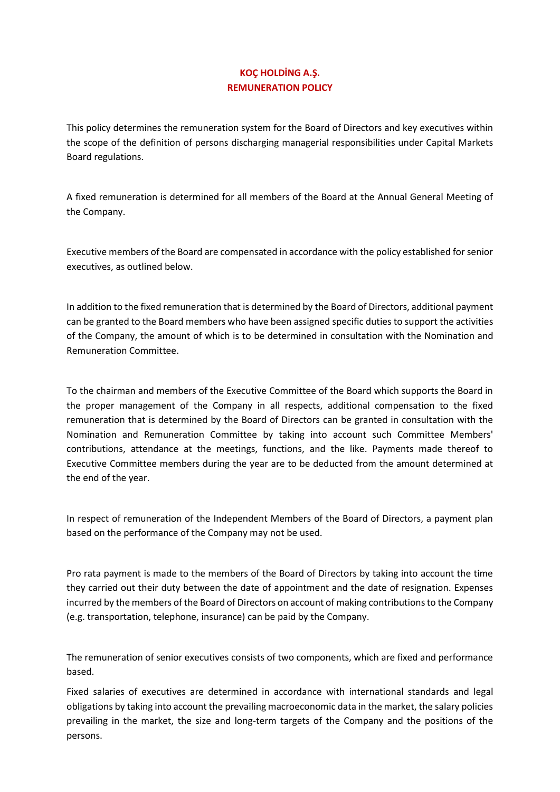## **KOÇ HOLDİNG A.Ş. REMUNERATION POLICY**

This policy determines the remuneration system for the Board of Directors and key executives within the scope of the definition of persons discharging managerial responsibilities under Capital Markets Board regulations.

A fixed remuneration is determined for all members of the Board at the Annual General Meeting of the Company.

Executive members of the Board are compensated in accordance with the policy established for senior executives, as outlined below.

In addition to the fixed remuneration that is determined by the Board of Directors, additional payment can be granted to the Board members who have been assigned specific duties to support the activities of the Company, the amount of which is to be determined in consultation with the Nomination and Remuneration Committee.

To the chairman and members of the Executive Committee of the Board which supports the Board in the proper management of the Company in all respects, additional compensation to the fixed remuneration that is determined by the Board of Directors can be granted in consultation with the Nomination and Remuneration Committee by taking into account such Committee Members' contributions, attendance at the meetings, functions, and the like. Payments made thereof to Executive Committee members during the year are to be deducted from the amount determined at the end of the year.

In respect of remuneration of the Independent Members of the Board of Directors, a payment plan based on the performance of the Company may not be used.

Pro rata payment is made to the members of the Board of Directors by taking into account the time they carried out their duty between the date of appointment and the date of resignation. Expenses incurred by the members of the Board of Directors on account of making contributions to the Company (e.g. transportation, telephone, insurance) can be paid by the Company.

The remuneration of senior executives consists of two components, which are fixed and performance based.

Fixed salaries of executives are determined in accordance with international standards and legal obligations by taking into account the prevailing macroeconomic data in the market, the salary policies prevailing in the market, the size and long-term targets of the Company and the positions of the persons.